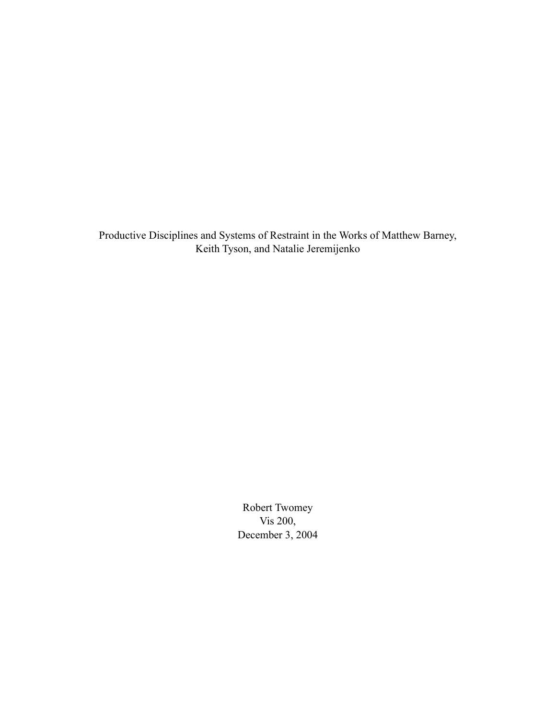Productive Disciplines and Systems of Restraint in the Works of Matthew Barney, Keith Tyson, and Natalie Jeremijenko

> Robert Twomey Vis 200, December 3, 2004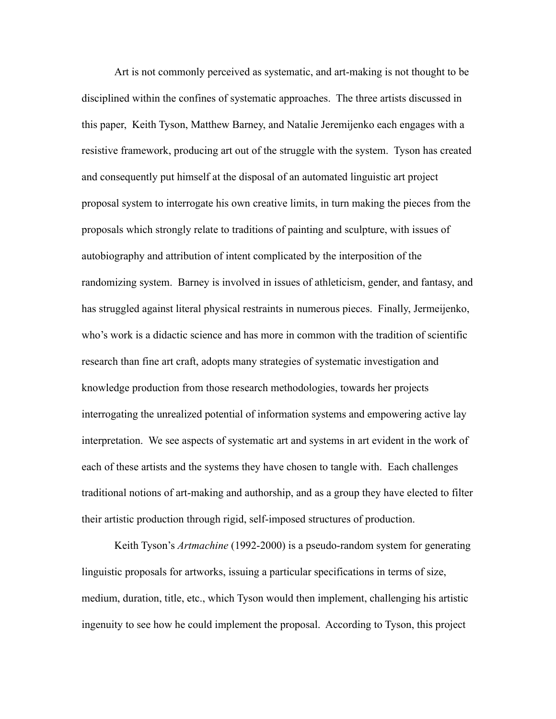Art is not commonly perceived as systematic, and art-making is not thought to be disciplined within the confines of systematic approaches. The three artists discussed in this paper, Keith Tyson, Matthew Barney, and Natalie Jeremijenko each engages with a resistive framework, producing art out of the struggle with the system. Tyson has created and consequently put himself at the disposal of an automated linguistic art project proposal system to interrogate his own creative limits, in turn making the pieces from the proposals which strongly relate to traditions of painting and sculpture, with issues of autobiography and attribution of intent complicated by the interposition of the randomizing system. Barney is involved in issues of athleticism, gender, and fantasy, and has struggled against literal physical restraints in numerous pieces. Finally, Jermeijenko, who's work is a didactic science and has more in common with the tradition of scientific research than fine art craft, adopts many strategies of systematic investigation and knowledge production from those research methodologies, towards her projects interrogating the unrealized potential of information systems and empowering active lay interpretation. We see aspects of systematic art and systems in art evident in the work of each of these artists and the systems they have chosen to tangle with. Each challenges traditional notions of art-making and authorship, and as a group they have elected to filter their artistic production through rigid, self-imposed structures of production.

Keith Tyson's *Artmachine* (1992-2000) is a pseudo-random system for generating linguistic proposals for artworks, issuing a particular specifications in terms of size, medium, duration, title, etc., which Tyson would then implement, challenging his artistic ingenuity to see how he could implement the proposal. According to Tyson, this project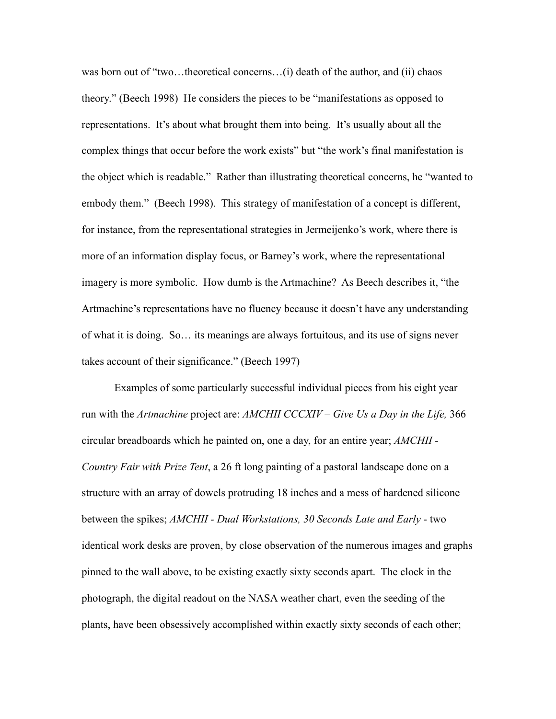was born out of "two…theoretical concerns…(i) death of the author, and (ii) chaos theory." (Beech 1998) He considers the pieces to be "manifestations as opposed to representations. It's about what brought them into being. It's usually about all the complex things that occur before the work exists" but "the work's final manifestation is the object which is readable." Rather than illustrating theoretical concerns, he "wanted to embody them." (Beech 1998). This strategy of manifestation of a concept is different, for instance, from the representational strategies in Jermeijenko's work, where there is more of an information display focus, or Barney's work, where the representational imagery is more symbolic. How dumb is the Artmachine? As Beech describes it, "the Artmachine's representations have no fluency because it doesn't have any understanding of what it is doing. So… its meanings are always fortuitous, and its use of signs never takes account of their significance." (Beech 1997)

Examples of some particularly successful individual pieces from his eight year run with the *Artmachine* project are: *AMCHII CCCXIV – Give Us a Day in the Life,* 366 circular breadboards which he painted on, one a day, for an entire year; *AMCHII - Country Fair with Prize Tent*, a 26 ft long painting of a pastoral landscape done on a structure with an array of dowels protruding 18 inches and a mess of hardened silicone between the spikes; *AMCHII - Dual Workstations, 30 Seconds Late and Early* - two identical work desks are proven, by close observation of the numerous images and graphs pinned to the wall above, to be existing exactly sixty seconds apart. The clock in the photograph, the digital readout on the NASA weather chart, even the seeding of the plants, have been obsessively accomplished within exactly sixty seconds of each other;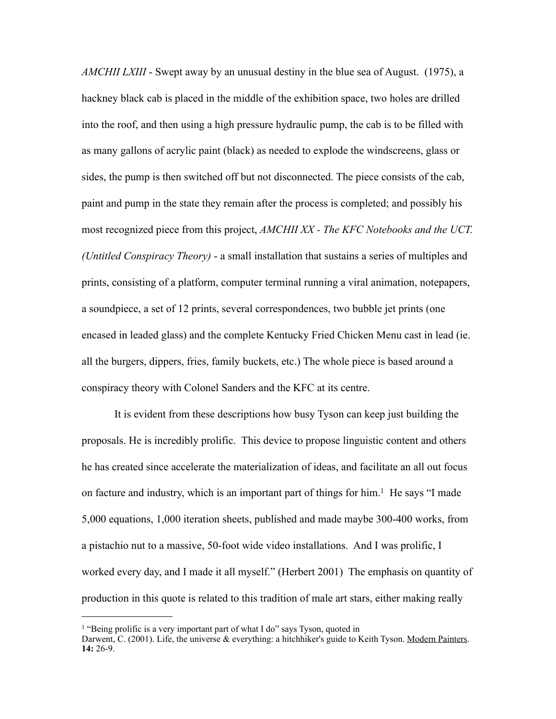*AMCHII LXIII* - Swept away by an unusual destiny in the blue sea of August. (1975), a hackney black cab is placed in the middle of the exhibition space, two holes are drilled into the roof, and then using a high pressure hydraulic pump, the cab is to be filled with as many gallons of acrylic paint (black) as needed to explode the windscreens, glass or sides, the pump is then switched off but not disconnected. The piece consists of the cab, paint and pump in the state they remain after the process is completed; and possibly his most recognized piece from this project, *AMCHII XX - The KFC Notebooks and the UCT. (Untitled Conspiracy Theory)* - a small installation that sustains a series of multiples and prints, consisting of a platform, computer terminal running a viral animation, notepapers, a soundpiece, a set of 12 prints, several correspondences, two bubble jet prints (one encased in leaded glass) and the complete Kentucky Fried Chicken Menu cast in lead (ie. all the burgers, dippers, fries, family buckets, etc.) The whole piece is based around a conspiracy theory with Colonel Sanders and the KFC at its centre.

It is evident from these descriptions how busy Tyson can keep just building the proposals. He is incredibly prolific. This device to propose linguistic content and others he has created since accelerate the materialization of ideas, and facilitate an all out focus on facture and industry, which is an important part of things for him.<sup>1</sup> He says "I made 5,000 equations, 1,000 iteration sheets, published and made maybe 300-400 works, from a pistachio nut to a massive, 50-foot wide video installations. And I was prolific, I worked every day, and I made it all myself." (Herbert 2001) The emphasis on quantity of production in this quote is related to this tradition of male art stars, either making really

<span id="page-3-0"></span><sup>&</sup>lt;sup>1</sup> "Being prolific is a very important part of what I do" says Tyson, quoted in

Darwent, C. (2001). Life, the universe & everything: a hitchhiker's guide to Keith Tyson. Modern Painters. **14:** 26-9.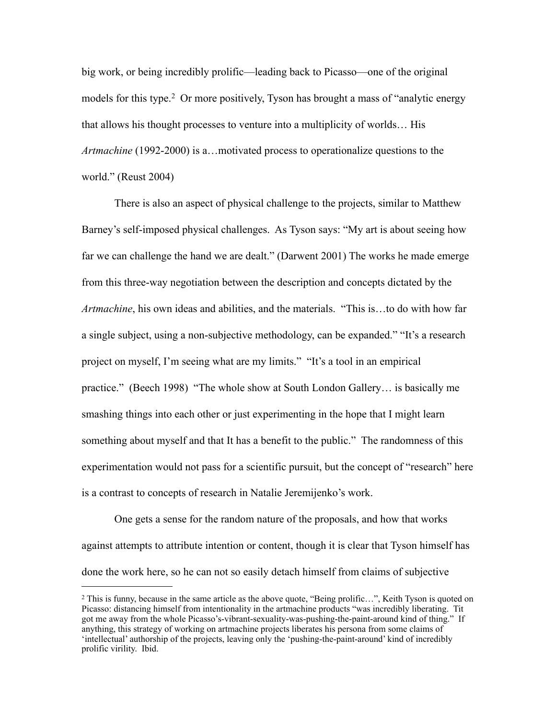big work, or being incredibly prolific—leading back to Picasso—one of the original models for this type.<sup>2</sup> Or more positively, Tyson has brought a mass of "analytic energy that allows his thought processes to venture into a multiplicity of worlds… His *Artmachine* (1992-2000) is a…motivated process to operationalize questions to the world." (Reust 2004)

There is also an aspect of physical challenge to the projects, similar to Matthew Barney's self-imposed physical challenges. As Tyson says: "My art is about seeing how far we can challenge the hand we are dealt." (Darwent 2001) The works he made emerge from this three-way negotiation between the description and concepts dictated by the *Artmachine*, his own ideas and abilities, and the materials. "This is…to do with how far a single subject, using a non-subjective methodology, can be expanded." "It's a research project on myself, I'm seeing what are my limits." "It's a tool in an empirical practice." (Beech 1998) "The whole show at South London Gallery… is basically me smashing things into each other or just experimenting in the hope that I might learn something about myself and that It has a benefit to the public." The randomness of this experimentation would not pass for a scientific pursuit, but the concept of "research" here is a contrast to concepts of research in Natalie Jeremijenko's work.

One gets a sense for the random nature of the proposals, and how that works against attempts to attribute intention or content, though it is clear that Tyson himself has done the work here, so he can not so easily detach himself from claims of subjective

<span id="page-4-0"></span><sup>&</sup>lt;sup>2</sup> This is funny, because in the same article as the above quote, "Being prolific...", Keith Tyson is quoted on Picasso: distancing himself from intentionality in the artmachine products "was incredibly liberating. Tit got me away from the whole Picasso's-vibrant-sexuality-was-pushing-the-paint-around kind of thing." If anything, this strategy of working on artmachine projects liberates his persona from some claims of 'intellectual' authorship of the projects, leaving only the 'pushing-the-paint-around' kind of incredibly prolific virility. Ibid.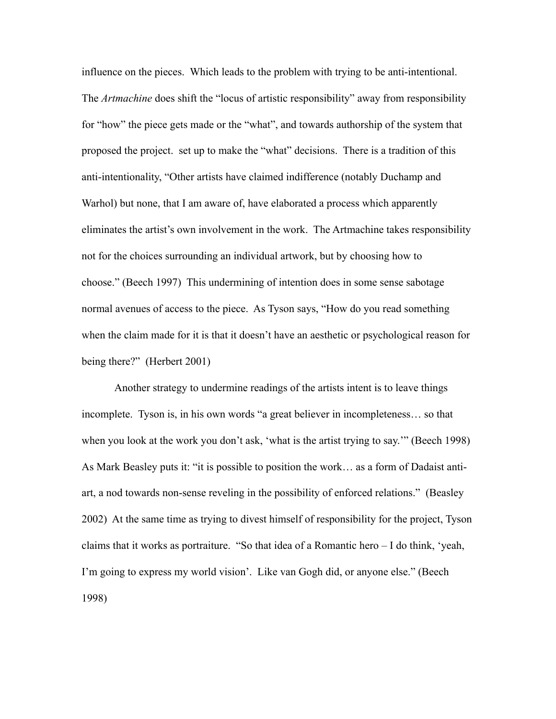influence on the pieces. Which leads to the problem with trying to be anti-intentional. The *Artmachine* does shift the "locus of artistic responsibility" away from responsibility for "how" the piece gets made or the "what", and towards authorship of the system that proposed the project. set up to make the "what" decisions. There is a tradition of this anti-intentionality, "Other artists have claimed indifference (notably Duchamp and Warhol) but none, that I am aware of, have elaborated a process which apparently eliminates the artist's own involvement in the work. The Artmachine takes responsibility not for the choices surrounding an individual artwork, but by choosing how to choose." (Beech 1997) This undermining of intention does in some sense sabotage normal avenues of access to the piece. As Tyson says, "How do you read something when the claim made for it is that it doesn't have an aesthetic or psychological reason for being there?" (Herbert 2001)

Another strategy to undermine readings of the artists intent is to leave things incomplete. Tyson is, in his own words "a great believer in incompleteness… so that when you look at the work you don't ask, 'what is the artist trying to say.'" (Beech 1998) As Mark Beasley puts it: "it is possible to position the work… as a form of Dadaist antiart, a nod towards non-sense reveling in the possibility of enforced relations." (Beasley 2002) At the same time as trying to divest himself of responsibility for the project, Tyson claims that it works as portraiture. "So that idea of a Romantic hero – I do think, 'yeah, I'm going to express my world vision'. Like van Gogh did, or anyone else." (Beech 1998)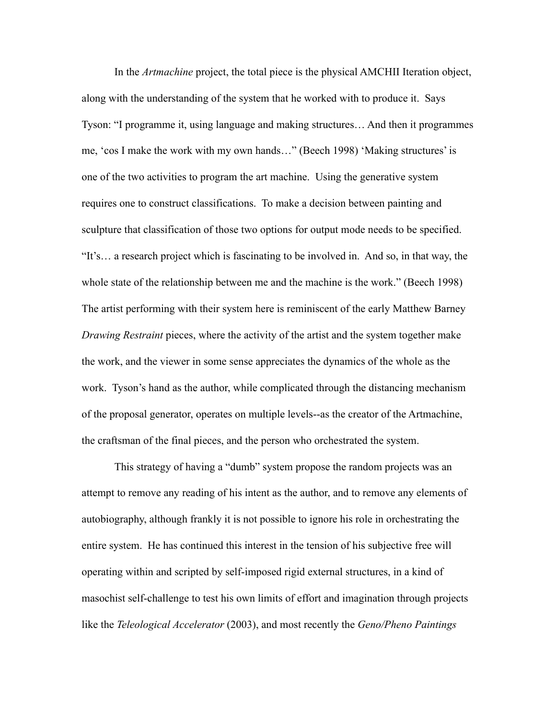In the *Artmachine* project, the total piece is the physical AMCHII Iteration object, along with the understanding of the system that he worked with to produce it. Says Tyson: "I programme it, using language and making structures… And then it programmes me, 'cos I make the work with my own hands…" (Beech 1998) 'Making structures' is one of the two activities to program the art machine. Using the generative system requires one to construct classifications. To make a decision between painting and sculpture that classification of those two options for output mode needs to be specified. "It's… a research project which is fascinating to be involved in. And so, in that way, the whole state of the relationship between me and the machine is the work." (Beech 1998) The artist performing with their system here is reminiscent of the early Matthew Barney *Drawing Restraint* pieces, where the activity of the artist and the system together make the work, and the viewer in some sense appreciates the dynamics of the whole as the work. Tyson's hand as the author, while complicated through the distancing mechanism of the proposal generator, operates on multiple levels--as the creator of the Artmachine, the craftsman of the final pieces, and the person who orchestrated the system.

This strategy of having a "dumb" system propose the random projects was an attempt to remove any reading of his intent as the author, and to remove any elements of autobiography, although frankly it is not possible to ignore his role in orchestrating the entire system. He has continued this interest in the tension of his subjective free will operating within and scripted by self-imposed rigid external structures, in a kind of masochist self-challenge to test his own limits of effort and imagination through projects like the *Teleological Accelerator* (2003), and most recently the *Geno/Pheno Paintings*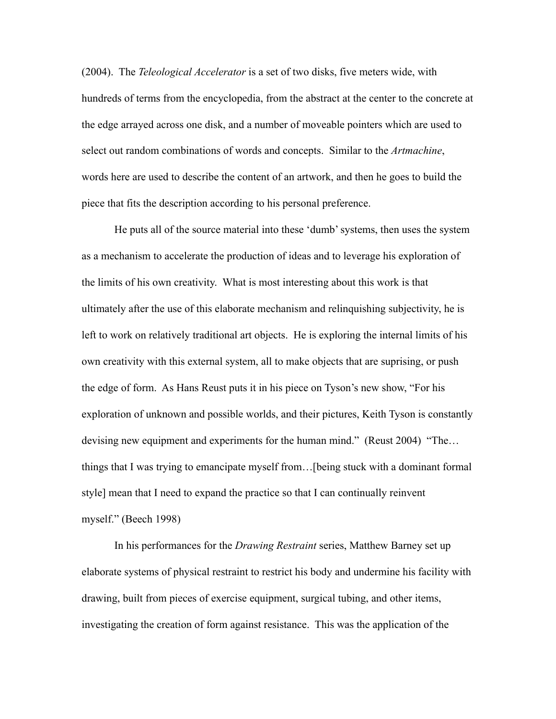(2004). The *Teleological Accelerator* is a set of two disks, five meters wide, with hundreds of terms from the encyclopedia, from the abstract at the center to the concrete at the edge arrayed across one disk, and a number of moveable pointers which are used to select out random combinations of words and concepts. Similar to the *Artmachine*, words here are used to describe the content of an artwork, and then he goes to build the piece that fits the description according to his personal preference.

He puts all of the source material into these 'dumb' systems, then uses the system as a mechanism to accelerate the production of ideas and to leverage his exploration of the limits of his own creativity. What is most interesting about this work is that ultimately after the use of this elaborate mechanism and relinquishing subjectivity, he is left to work on relatively traditional art objects. He is exploring the internal limits of his own creativity with this external system, all to make objects that are suprising, or push the edge of form. As Hans Reust puts it in his piece on Tyson's new show, "For his exploration of unknown and possible worlds, and their pictures, Keith Tyson is constantly devising new equipment and experiments for the human mind." (Reust 2004) "The… things that I was trying to emancipate myself from…[being stuck with a dominant formal style] mean that I need to expand the practice so that I can continually reinvent myself." (Beech 1998)

In his performances for the *Drawing Restraint* series, Matthew Barney set up elaborate systems of physical restraint to restrict his body and undermine his facility with drawing, built from pieces of exercise equipment, surgical tubing, and other items, investigating the creation of form against resistance. This was the application of the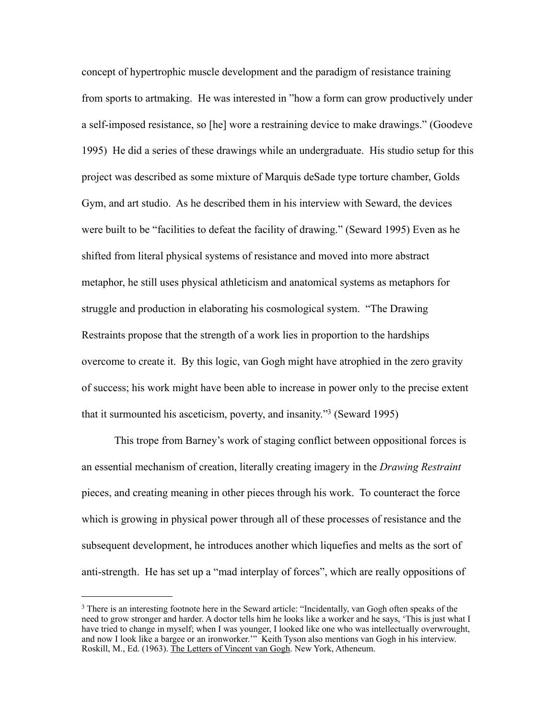concept of hypertrophic muscle development and the paradigm of resistance training from sports to artmaking. He was interested in "how a form can grow productively under a self-imposed resistance, so [he] wore a restraining device to make drawings." (Goodeve 1995) He did a series of these drawings while an undergraduate. His studio setup for this project was described as some mixture of Marquis deSade type torture chamber, Golds Gym, and art studio. As he described them in his interview with Seward, the devices were built to be "facilities to defeat the facility of drawing." (Seward 1995) Even as he shifted from literal physical systems of resistance and moved into more abstract metaphor, he still uses physical athleticism and anatomical systems as metaphors for struggle and production in elaborating his cosmological system. "The Drawing Restraints propose that the strength of a work lies in proportion to the hardships overcome to create it. By this logic, van Gogh might have atrophied in the zero gravity of success; his work might have been able to increase in power only to the precise extent that it surmounted his asceticism, poverty, and insanity.["3](#page-8-0) (Seward 1995)

This trope from Barney's work of staging conflict between oppositional forces is an essential mechanism of creation, literally creating imagery in the *Drawing Restraint* pieces, and creating meaning in other pieces through his work. To counteract the force which is growing in physical power through all of these processes of resistance and the subsequent development, he introduces another which liquefies and melts as the sort of anti-strength. He has set up a "mad interplay of forces", which are really oppositions of

<span id="page-8-0"></span><sup>&</sup>lt;sup>3</sup> There is an interesting footnote here in the Seward article: "Incidentally, van Gogh often speaks of the need to grow stronger and harder. A doctor tells him he looks like a worker and he says, 'This is just what I have tried to change in myself; when I was younger, I looked like one who was intellectually overwrought, and now I look like a bargee or an ironworker.'" Keith Tyson also mentions van Gogh in his interview. Roskill, M., Ed. (1963). The Letters of Vincent van Gogh. New York, Atheneum.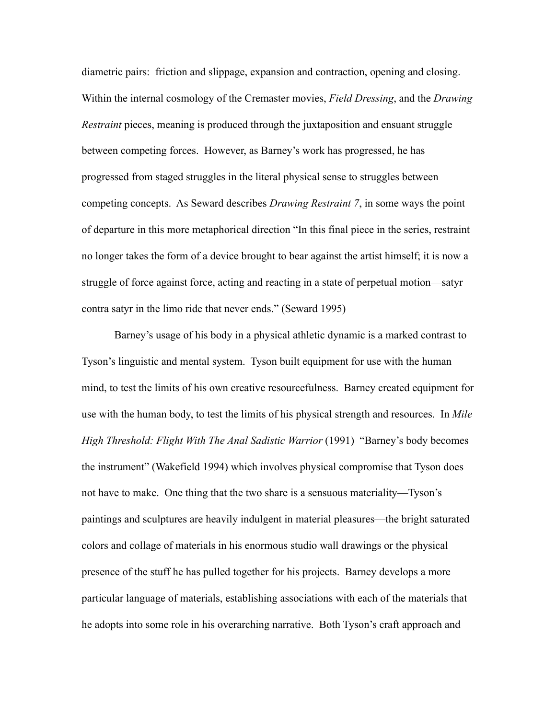diametric pairs: friction and slippage, expansion and contraction, opening and closing. Within the internal cosmology of the Cremaster movies, *Field Dressing*, and the *Drawing Restraint* pieces, meaning is produced through the juxtaposition and ensuant struggle between competing forces. However, as Barney's work has progressed, he has progressed from staged struggles in the literal physical sense to struggles between competing concepts. As Seward describes *Drawing Restraint 7*, in some ways the point of departure in this more metaphorical direction "In this final piece in the series, restraint no longer takes the form of a device brought to bear against the artist himself; it is now a struggle of force against force, acting and reacting in a state of perpetual motion—satyr contra satyr in the limo ride that never ends." (Seward 1995)

Barney's usage of his body in a physical athletic dynamic is a marked contrast to Tyson's linguistic and mental system. Tyson built equipment for use with the human mind, to test the limits of his own creative resourcefulness. Barney created equipment for use with the human body, to test the limits of his physical strength and resources. In *Mile High Threshold: Flight With The Anal Sadistic Warrior* (1991) "Barney's body becomes the instrument" (Wakefield 1994) which involves physical compromise that Tyson does not have to make. One thing that the two share is a sensuous materiality—Tyson's paintings and sculptures are heavily indulgent in material pleasures—the bright saturated colors and collage of materials in his enormous studio wall drawings or the physical presence of the stuff he has pulled together for his projects. Barney develops a more particular language of materials, establishing associations with each of the materials that he adopts into some role in his overarching narrative. Both Tyson's craft approach and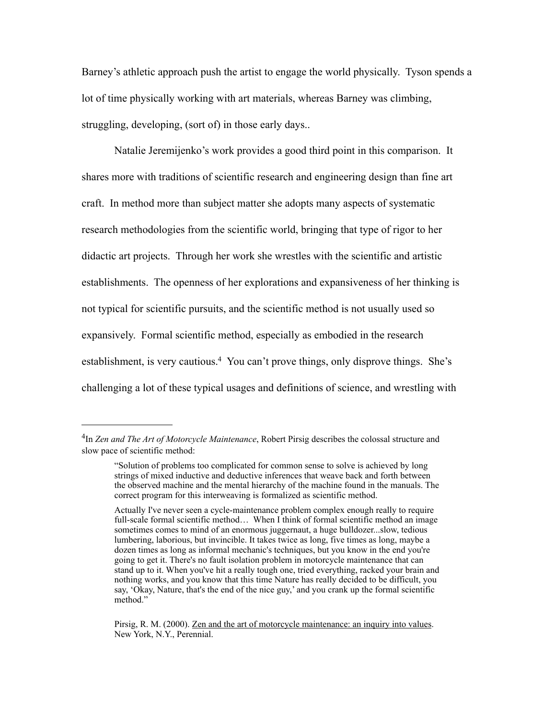Barney's athletic approach push the artist to engage the world physically. Tyson spends a lot of time physically working with art materials, whereas Barney was climbing, struggling, developing, (sort of) in those early days..

Natalie Jeremijenko's work provides a good third point in this comparison. It shares more with traditions of scientific research and engineering design than fine art craft. In method more than subject matter she adopts many aspects of systematic research methodologies from the scientific world, bringing that type of rigor to her didactic art projects. Through her work she wrestles with the scientific and artistic establishments. The openness of her explorations and expansiveness of her thinking is not typical for scientific pursuits, and the scientific method is not usually used so expansively. Formal scientific method, especially as embodied in the research establishment, is very cautious.<sup>4</sup> You can't prove things, only disprove things. She's challenging a lot of these typical usages and definitions of science, and wrestling with

<span id="page-10-0"></span><sup>4</sup>In *Zen and The Art of Motorcycle Maintenance*, Robert Pirsig describes the colossal structure and slow pace of scientific method:

<sup>&</sup>quot;Solution of problems too complicated for common sense to solve is achieved by long strings of mixed inductive and deductive inferences that weave back and forth between the observed machine and the mental hierarchy of the machine found in the manuals. The correct program for this interweaving is formalized as scientific method.

Actually I've never seen a cycle-maintenance problem complex enough really to require full-scale formal scientific method… When I think of formal scientific method an image sometimes comes to mind of an enormous juggernaut, a huge bulldozer...slow, tedious lumbering, laborious, but invincible. It takes twice as long, five times as long, maybe a dozen times as long as informal mechanic's techniques, but you know in the end you're going to get it. There's no fault isolation problem in motorcycle maintenance that can stand up to it. When you've hit a really tough one, tried everything, racked your brain and nothing works, and you know that this time Nature has really decided to be difficult, you say, 'Okay, Nature, that's the end of the nice guy,' and you crank up the formal scientific method."

Pirsig, R. M. (2000). Zen and the art of motorcycle maintenance: an inquiry into values. New York, N.Y., Perennial.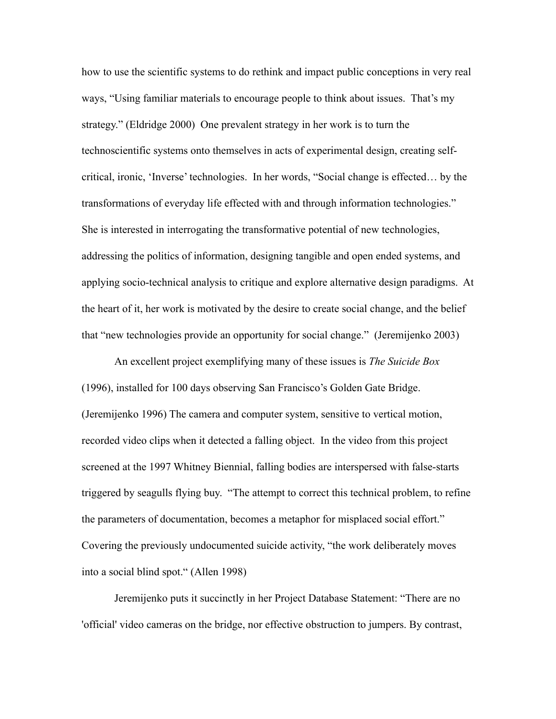how to use the scientific systems to do rethink and impact public conceptions in very real ways, "Using familiar materials to encourage people to think about issues. That's my strategy." (Eldridge 2000) One prevalent strategy in her work is to turn the technoscientific systems onto themselves in acts of experimental design, creating selfcritical, ironic, 'Inverse' technologies. In her words, "Social change is effected… by the transformations of everyday life effected with and through information technologies." She is interested in interrogating the transformative potential of new technologies, addressing the politics of information, designing tangible and open ended systems, and applying socio-technical analysis to critique and explore alternative design paradigms. At the heart of it, her work is motivated by the desire to create social change, and the belief that "new technologies provide an opportunity for social change." (Jeremijenko 2003)

An excellent project exemplifying many of these issues is *The Suicide Box* (1996), installed for 100 days observing San Francisco's Golden Gate Bridge. (Jeremijenko 1996) The camera and computer system, sensitive to vertical motion, recorded video clips when it detected a falling object. In the video from this project screened at the 1997 Whitney Biennial, falling bodies are interspersed with false-starts triggered by seagulls flying buy. "The attempt to correct this technical problem, to refine the parameters of documentation, becomes a metaphor for misplaced social effort." Covering the previously undocumented suicide activity, "the work deliberately moves into a social blind spot." (Allen 1998)

Jeremijenko puts it succinctly in her Project Database Statement: "There are no 'official' video cameras on the bridge, nor effective obstruction to jumpers. By contrast,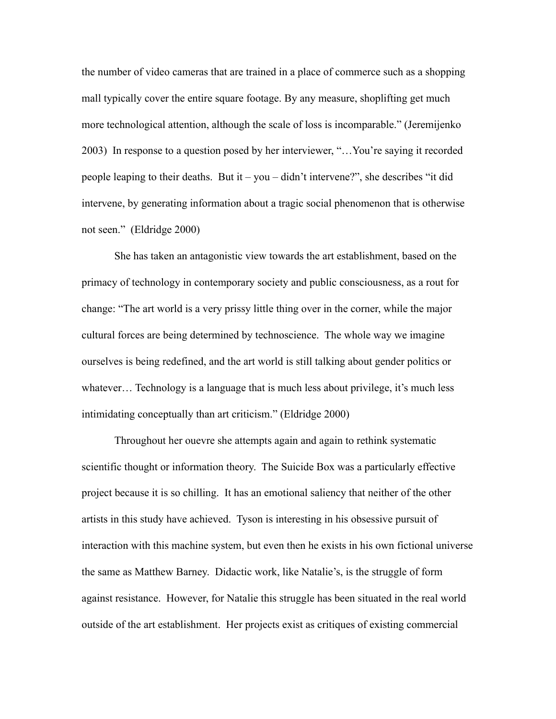the number of video cameras that are trained in a place of commerce such as a shopping mall typically cover the entire square footage. By any measure, shoplifting get much more technological attention, although the scale of loss is incomparable." (Jeremijenko 2003) In response to a question posed by her interviewer, "…You're saying it recorded people leaping to their deaths. But it – you – didn't intervene?", she describes "it did intervene, by generating information about a tragic social phenomenon that is otherwise not seen." (Eldridge 2000)

She has taken an antagonistic view towards the art establishment, based on the primacy of technology in contemporary society and public consciousness, as a rout for change: "The art world is a very prissy little thing over in the corner, while the major cultural forces are being determined by technoscience. The whole way we imagine ourselves is being redefined, and the art world is still talking about gender politics or whatever… Technology is a language that is much less about privilege, it's much less intimidating conceptually than art criticism." (Eldridge 2000)

Throughout her ouevre she attempts again and again to rethink systematic scientific thought or information theory. The Suicide Box was a particularly effective project because it is so chilling. It has an emotional saliency that neither of the other artists in this study have achieved. Tyson is interesting in his obsessive pursuit of interaction with this machine system, but even then he exists in his own fictional universe the same as Matthew Barney. Didactic work, like Natalie's, is the struggle of form against resistance. However, for Natalie this struggle has been situated in the real world outside of the art establishment. Her projects exist as critiques of existing commercial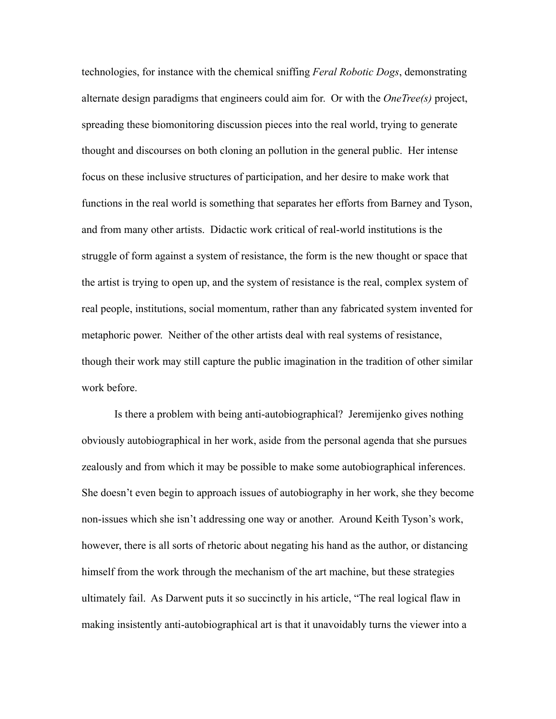technologies, for instance with the chemical sniffing *Feral Robotic Dogs*, demonstrating alternate design paradigms that engineers could aim for. Or with the *OneTree(s)* project, spreading these biomonitoring discussion pieces into the real world, trying to generate thought and discourses on both cloning an pollution in the general public. Her intense focus on these inclusive structures of participation, and her desire to make work that functions in the real world is something that separates her efforts from Barney and Tyson, and from many other artists. Didactic work critical of real-world institutions is the struggle of form against a system of resistance, the form is the new thought or space that the artist is trying to open up, and the system of resistance is the real, complex system of real people, institutions, social momentum, rather than any fabricated system invented for metaphoric power. Neither of the other artists deal with real systems of resistance, though their work may still capture the public imagination in the tradition of other similar work before.

Is there a problem with being anti-autobiographical? Jeremijenko gives nothing obviously autobiographical in her work, aside from the personal agenda that she pursues zealously and from which it may be possible to make some autobiographical inferences. She doesn't even begin to approach issues of autobiography in her work, she they become non-issues which she isn't addressing one way or another. Around Keith Tyson's work, however, there is all sorts of rhetoric about negating his hand as the author, or distancing himself from the work through the mechanism of the art machine, but these strategies ultimately fail. As Darwent puts it so succinctly in his article, "The real logical flaw in making insistently anti-autobiographical art is that it unavoidably turns the viewer into a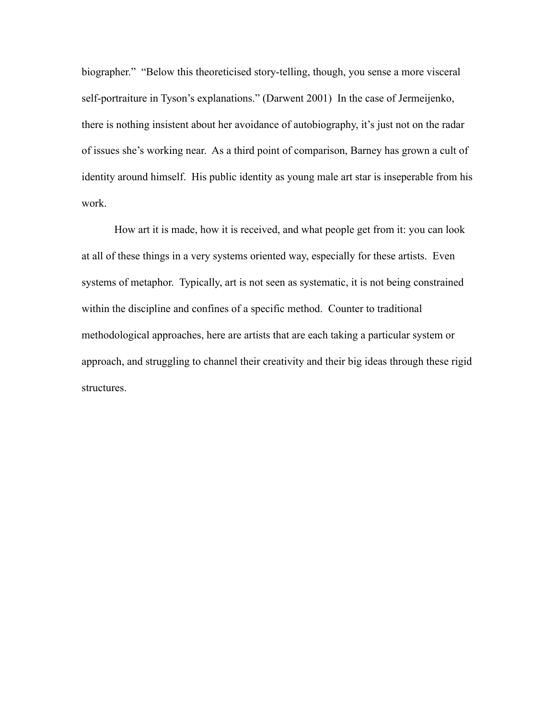biographer." "Below this theoreticised story-telling, though, you sense a more visceral self-portraiture in Tyson's explanations." (Darwent 2001) In the case of Jermeijenko, there is nothing insistent about her avoidance of autobiography, it's just not on the radar of issues she's working near. As a third point of comparison, Barney has grown a cult of identity around himself. His public identity as young male art star is inseperable from his work.

How art it is made, how it is received, and what people get from it: you can look at all of these things in a very systems oriented way, especially for these artists. Even systems of metaphor. Typically, art is not seen as systematic, it is not being constrained within the discipline and confines of a specific method. Counter to traditional methodological approaches, here are artists that are each taking a particular system or approach, and struggling to channel their creativity and their big ideas through these rigid structures.